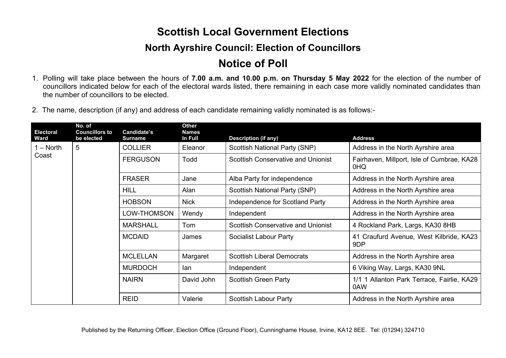## **Scottish Local Government Elections**

## **North Ayrshire Council: Election of Councillors**

## **Notice of Poll**

- 1. Polling will take place between the hours of **7.00 a.m. and 10.00 p.m. on Thursday 5 May 2022** for the election of the number of councillors indicated below for each of the electoral wards listed, there remaining in each case more validly nominated candidates than the number of councillors to be elected.
- 2. The name, description (if any) and address of each candidate remaining validly nominated is as follows:-

| <b>Electoral</b><br>Ward | No. of<br><b>Councillors to</b><br>be elected | Candidate's<br><b>Surname</b> | Other<br><b>Names</b><br>In Full | <b>Description (if any)</b>               | <b>Address</b>                                    |
|--------------------------|-----------------------------------------------|-------------------------------|----------------------------------|-------------------------------------------|---------------------------------------------------|
| 1 – North<br>Coast       | 5                                             | <b>COLLIER</b>                | Eleanor                          | Scottish National Party (SNP)             | Address in the North Ayrshire area                |
|                          |                                               | <b>FERGUSON</b>               | Todd                             | <b>Scottish Conservative and Unionist</b> | Fairhaven, Millport, Isle of Cumbrae, KA28<br>0HQ |
|                          |                                               | <b>FRASER</b>                 | Jane                             | Alba Party for independence               | Address in the North Ayrshire area                |
|                          |                                               | <b>HILL</b>                   | Alan                             | <b>Scottish National Party (SNP)</b>      | Address in the North Ayrshire area                |
|                          |                                               | <b>HOBSON</b>                 | <b>Nick</b>                      | Independence for Scotland Party           | Address in the North Ayrshire area                |
|                          |                                               | LOW-THOMSON                   | Wendy                            | Independent                               | Address in the North Ayrshire area                |
|                          |                                               | <b>MARSHALL</b>               | Tom                              | <b>Scottish Conservative and Unionist</b> | 4 Rockland Park, Largs, KA30 8HB                  |
|                          |                                               | <b>MCDAID</b>                 | James                            | Socialist Labour Party                    | 41 Craufurd Avenue, West Kilbride, KA23<br>9DP    |
|                          |                                               | <b>MCLELLAN</b>               | Margaret                         | <b>Scottish Liberal Democrats</b>         | Address in the North Ayrshire area                |
|                          |                                               | <b>MURDOCH</b>                | lan.                             | Independent                               | 6 Viking Way, Largs, KA30 9NL                     |
|                          |                                               | <b>NAIRN</b>                  | David John                       | <b>Scottish Green Party</b>               | 1/1 1 Allanton Park Terrace, Fairlie, KA29<br>0AW |
|                          |                                               | <b>REID</b>                   | Valerie                          | <b>Scottish Labour Party</b>              | Address in the North Ayrshire area                |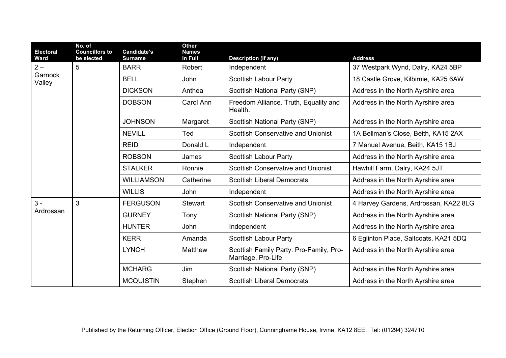| <b>Electoral</b><br>Ward   | No. of<br><b>Councillors to</b><br>be elected | Candidate's<br><b>Surname</b> | <b>Other</b><br><b>Names</b><br>In Full | <b>Description (if any)</b>                                   | <b>Address</b>                        |
|----------------------------|-----------------------------------------------|-------------------------------|-----------------------------------------|---------------------------------------------------------------|---------------------------------------|
| $2 -$<br>Garnock<br>Valley | 5                                             | <b>BARR</b>                   | Robert                                  | Independent                                                   | 37 Westpark Wynd, Dalry, KA24 5BP     |
|                            |                                               | <b>BELL</b>                   | <b>John</b>                             | <b>Scottish Labour Party</b>                                  | 18 Castle Grove, Kilbirnie, KA25 6AW  |
|                            |                                               | <b>DICKSON</b>                | Anthea                                  | <b>Scottish National Party (SNP)</b>                          | Address in the North Ayrshire area    |
|                            |                                               | <b>DOBSON</b>                 | Carol Ann                               | Freedom Alliance. Truth, Equality and<br>Health.              | Address in the North Ayrshire area    |
|                            |                                               | <b>JOHNSON</b>                | Margaret                                | <b>Scottish National Party (SNP)</b>                          | Address in the North Ayrshire area    |
|                            |                                               | <b>NEVILL</b>                 | Ted                                     | <b>Scottish Conservative and Unionist</b>                     | 1A Bellman's Close, Beith, KA15 2AX   |
|                            |                                               | <b>REID</b>                   | Donald L                                | Independent                                                   | 7 Manuel Avenue, Beith, KA15 1BJ      |
|                            |                                               | <b>ROBSON</b>                 | James                                   | <b>Scottish Labour Party</b>                                  | Address in the North Ayrshire area    |
|                            |                                               | <b>STALKER</b>                | Ronnie                                  | <b>Scottish Conservative and Unionist</b>                     | Hawhill Farm, Dalry, KA24 5JT         |
|                            |                                               | <b>WILLIAMSON</b>             | Catherine                               | <b>Scottish Liberal Democrats</b>                             | Address in the North Ayrshire area    |
|                            |                                               | <b>WILLIS</b>                 | <b>John</b>                             | Independent                                                   | Address in the North Ayrshire area    |
| $3 -$                      | 3                                             | <b>FERGUSON</b>               | <b>Stewart</b>                          | <b>Scottish Conservative and Unionist</b>                     | 4 Harvey Gardens, Ardrossan, KA22 8LG |
| Ardrossan                  |                                               | <b>GURNEY</b>                 | Tony                                    | <b>Scottish National Party (SNP)</b>                          | Address in the North Ayrshire area    |
|                            |                                               | <b>HUNTER</b>                 | John                                    | Independent                                                   | Address in the North Ayrshire area    |
|                            |                                               | <b>KERR</b>                   | Amanda                                  | <b>Scottish Labour Party</b>                                  | 6 Eglinton Place, Saltcoats, KA21 5DQ |
|                            |                                               | <b>LYNCH</b>                  | Matthew                                 | Scottish Family Party: Pro-Family, Pro-<br>Marriage, Pro-Life | Address in the North Ayrshire area    |
|                            |                                               | <b>MCHARG</b>                 | Jim                                     | <b>Scottish National Party (SNP)</b>                          | Address in the North Ayrshire area    |
|                            |                                               | <b>MCQUISTIN</b>              | Stephen                                 | <b>Scottish Liberal Democrats</b>                             | Address in the North Ayrshire area    |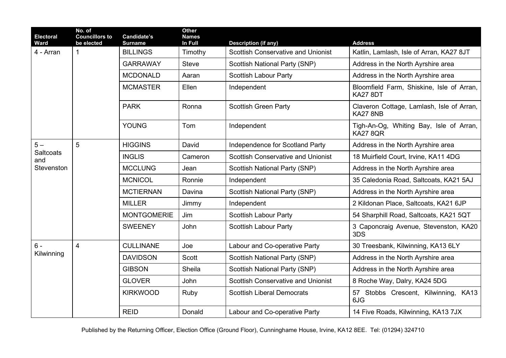| <b>Electoral</b><br><b>Ward</b> | No. of<br><b>Councillors to</b><br>be elected | Candidate's<br><b>Surname</b> | Other<br><b>Names</b><br>In Full | <b>Description (if any)</b>               | <b>Address</b>                                               |
|---------------------------------|-----------------------------------------------|-------------------------------|----------------------------------|-------------------------------------------|--------------------------------------------------------------|
| 4 - Arran                       | $\mathbf{1}$                                  | <b>BILLINGS</b>               | Timothy                          | <b>Scottish Conservative and Unionist</b> | Katlin, Lamlash, Isle of Arran, KA27 8JT                     |
|                                 |                                               | <b>GARRAWAY</b>               | <b>Steve</b>                     | <b>Scottish National Party (SNP)</b>      | Address in the North Ayrshire area                           |
|                                 |                                               | <b>MCDONALD</b>               | Aaran                            | <b>Scottish Labour Party</b>              | Address in the North Ayrshire area                           |
|                                 |                                               | <b>MCMASTER</b>               | Ellen                            | Independent                               | Bloomfield Farm, Shiskine, Isle of Arran,<br><b>KA27 8DT</b> |
|                                 |                                               | <b>PARK</b>                   | Ronna                            | <b>Scottish Green Party</b>               | Claveron Cottage, Lamlash, Isle of Arran,<br>KA27 8NB        |
|                                 |                                               | <b>YOUNG</b>                  | Tom                              | Independent                               | Tigh-An-Og, Whiting Bay, Isle of Arran,<br><b>KA27 8QR</b>   |
| $5-$                            | 5                                             | <b>HIGGINS</b>                | David                            | Independence for Scotland Party           | Address in the North Ayrshire area                           |
| Saltcoats<br>and                |                                               | <b>INGLIS</b>                 | Cameron                          | <b>Scottish Conservative and Unionist</b> | 18 Muirfield Court, Irvine, KA11 4DG                         |
| Stevenston                      |                                               | <b>MCCLUNG</b>                | Jean                             | <b>Scottish National Party (SNP)</b>      | Address in the North Ayrshire area                           |
|                                 |                                               | <b>MCNICOL</b>                | Ronnie                           | Independent                               | 35 Caledonia Road, Saltcoats, KA21 5AJ                       |
|                                 |                                               | <b>MCTIERNAN</b>              | Davina                           | <b>Scottish National Party (SNP)</b>      | Address in the North Ayrshire area                           |
|                                 |                                               | <b>MILLER</b>                 | Jimmy                            | Independent                               | 2 Kildonan Place, Saltcoats, KA21 6JP                        |
|                                 |                                               | <b>MONTGOMERIE</b>            | Jim                              | <b>Scottish Labour Party</b>              | 54 Sharphill Road, Saltcoats, KA21 5QT                       |
|                                 |                                               | <b>SWEENEY</b>                | John                             | <b>Scottish Labour Party</b>              | 3 Caponcraig Avenue, Stevenston, KA20<br>3DS                 |
| $6 -$                           | $\overline{4}$                                | <b>CULLINANE</b>              | Joe                              | Labour and Co-operative Party             | 30 Treesbank, Kilwinning, KA13 6LY                           |
| Kilwinning                      |                                               | <b>DAVIDSON</b>               | Scott                            | <b>Scottish National Party (SNP)</b>      | Address in the North Ayrshire area                           |
|                                 |                                               | <b>GIBSON</b>                 | Sheila                           | <b>Scottish National Party (SNP)</b>      | Address in the North Ayrshire area                           |
|                                 |                                               | <b>GLOVER</b>                 | John                             | <b>Scottish Conservative and Unionist</b> | 8 Roche Way, Dalry, KA24 5DG                                 |
|                                 |                                               | <b>KIRKWOOD</b>               | Ruby                             | <b>Scottish Liberal Democrats</b>         | 57 Stobbs Crescent, Kilwinning, KA13<br>6JG                  |
|                                 |                                               | <b>REID</b>                   | Donald                           | Labour and Co-operative Party             | 14 Five Roads, Kilwinning, KA13 7JX                          |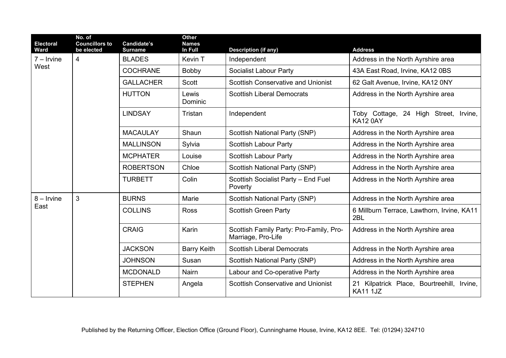| <b>Electoral</b><br>Ward | No. of<br><b>Councillors to</b><br>be elected | Candidate's<br><b>Surname</b> | <b>Other</b><br><b>Names</b><br>In Full | <b>Description (if any)</b>                                   | <b>Address</b>                                                   |
|--------------------------|-----------------------------------------------|-------------------------------|-----------------------------------------|---------------------------------------------------------------|------------------------------------------------------------------|
| $7 -$ Irvine<br>West     | $\overline{4}$                                | <b>BLADES</b>                 | Kevin T                                 | Independent                                                   | Address in the North Ayrshire area                               |
|                          |                                               | <b>COCHRANE</b>               | Bobby                                   | <b>Socialist Labour Party</b>                                 | 43A East Road, Irvine, KA12 0BS                                  |
|                          |                                               | <b>GALLACHER</b>              | Scott                                   | <b>Scottish Conservative and Unionist</b>                     | 62 Galt Avenue, Irvine, KA12 0NY                                 |
|                          |                                               | <b>HUTTON</b>                 | Lewis<br>Dominic                        | <b>Scottish Liberal Democrats</b>                             | Address in the North Ayrshire area                               |
|                          |                                               | <b>LINDSAY</b>                | Tristan                                 | Independent                                                   | Toby Cottage, 24 High Street, Irvine,<br><b>KA12 0AY</b>         |
|                          |                                               | <b>MACAULAY</b>               | Shaun                                   | <b>Scottish National Party (SNP)</b>                          | Address in the North Ayrshire area                               |
|                          |                                               | <b>MALLINSON</b>              | Sylvia                                  | <b>Scottish Labour Party</b>                                  | Address in the North Ayrshire area                               |
|                          |                                               | <b>MCPHATER</b>               | Louise                                  | <b>Scottish Labour Party</b>                                  | Address in the North Ayrshire area                               |
|                          |                                               | <b>ROBERTSON</b>              | Chloe                                   | <b>Scottish National Party (SNP)</b>                          | Address in the North Ayrshire area                               |
|                          |                                               | <b>TURBETT</b>                | Colin                                   | Scottish Socialist Party - End Fuel<br>Poverty                | Address in the North Ayrshire area                               |
| $8 -$ Irvine<br>East     | 3                                             | <b>BURNS</b>                  | Marie                                   | <b>Scottish National Party (SNP)</b>                          | Address in the North Ayrshire area                               |
|                          |                                               | <b>COLLINS</b>                | <b>Ross</b>                             | <b>Scottish Green Party</b>                                   | 6 Millburn Terrace, Lawthorn, Irvine, KA11<br>2BL                |
|                          |                                               | <b>CRAIG</b>                  | Karin                                   | Scottish Family Party: Pro-Family, Pro-<br>Marriage, Pro-Life | Address in the North Ayrshire area                               |
|                          |                                               | <b>JACKSON</b>                | <b>Barry Keith</b>                      | <b>Scottish Liberal Democrats</b>                             | Address in the North Ayrshire area                               |
|                          |                                               | <b>JOHNSON</b>                | Susan                                   | <b>Scottish National Party (SNP)</b>                          | Address in the North Ayrshire area                               |
|                          |                                               | <b>MCDONALD</b>               | Nairn                                   | Labour and Co-operative Party                                 | Address in the North Ayrshire area                               |
|                          |                                               | <b>STEPHEN</b>                | Angela                                  | <b>Scottish Conservative and Unionist</b>                     | Kilpatrick Place, Bourtreehill, Irvine,<br>21<br><b>KA11 1JZ</b> |